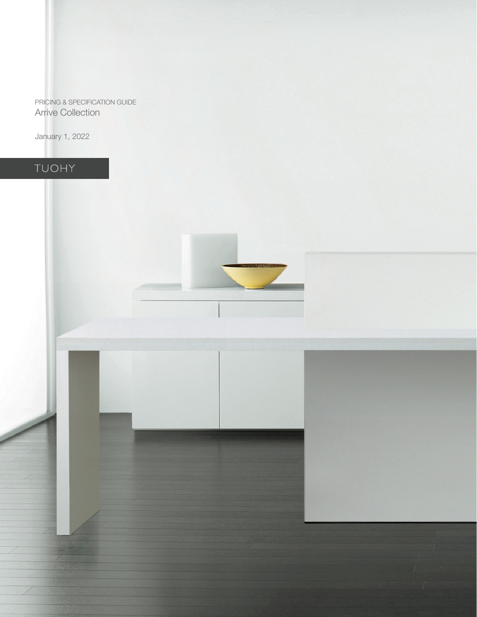PRICING & SPECIFICATION GUIDE Arrive Collection

January 1, 2022

# TUOHY

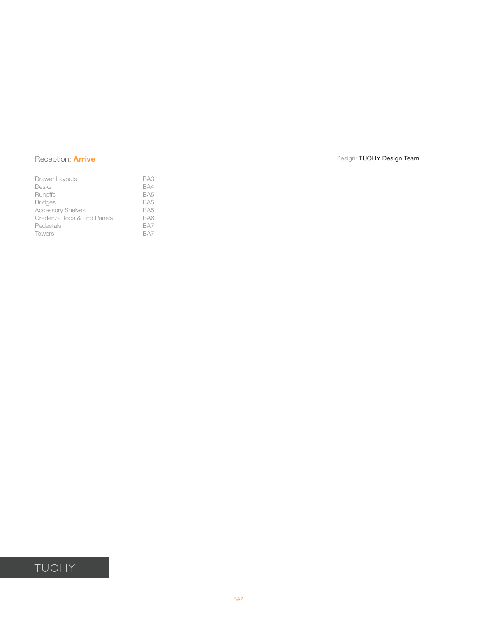| Drawer Layouts             | BA3             |
|----------------------------|-----------------|
| Desks                      | BA4             |
| Runoffs                    | BA <sub>5</sub> |
| <b>Bridges</b>             | BA <sub>5</sub> |
| <b>Accessory Shelves</b>   | BA <sub>5</sub> |
| Credenza Tops & End Panels | BA6             |
| Pedestals                  | BA7             |
| <b>Towers</b>              | BA7             |

## Reception: **Arrive** Design: TUOHY Design: TEAM Design: TUOHY Design: TEAM Design: TUOHY Design Team

## TUOHY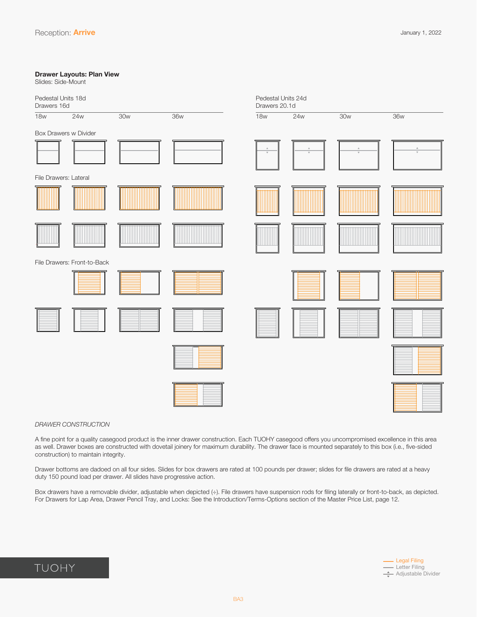### <span id="page-2-0"></span>**Drawer Layouts: Plan View**

Slides: Side-Mount

| Pedestal Units 18d<br>Drawers 16d |                             |     |            | Pedestal Units 24d<br>Drawers 20.1d    |                          |                                     |                         |
|-----------------------------------|-----------------------------|-----|------------|----------------------------------------|--------------------------|-------------------------------------|-------------------------|
| <b>18w</b>                        | 24w                         | 30w | <b>36w</b> | <b>18w</b>                             | 24w                      | 30w                                 | 36w                     |
| Box Drawers w Divider             |                             |     |            |                                        |                          |                                     |                         |
|                                   |                             |     |            | $\mathbb A$<br>$\overline{\mathbf{v}}$ | $\Delta$<br>$\mathbf{v}$ | $\Delta$<br>$\overline{\mathbf{v}}$ | $\mathbf{\overline{v}}$ |
| File Drawers: Lateral             |                             |     |            |                                        |                          |                                     |                         |
|                                   |                             |     |            |                                        |                          |                                     |                         |
|                                   |                             |     |            |                                        |                          |                                     |                         |
|                                   | File Drawers: Front-to-Back |     |            |                                        |                          |                                     |                         |
|                                   |                             |     |            |                                        |                          |                                     |                         |
|                                   |                             |     |            |                                        |                          |                                     |                         |
|                                   |                             |     |            |                                        |                          |                                     |                         |
|                                   |                             |     |            |                                        |                          |                                     |                         |

### *DRAWER CONSTRUCTION*

A fine point for a quality casegood product is the inner drawer construction. Each TUOHY casegood offers you uncompromised excellence in this area as well. Drawer boxes are constructed with dovetail joinery for maximum durability. The drawer face is mounted separately to this box (i.e., five-sided construction) to maintain integrity.

Drawer bottoms are dadoed on all four sides. Slides for box drawers are rated at 100 pounds per drawer; slides for file drawers are rated at a heavy duty 150 pound load per drawer. All slides have progressive action.

Box drawers have a removable divider, adjustable when depicted (÷). File drawers have suspension rods for filing laterally or front-to-back, as depicted. For Drawers for Lap Area, Drawer Pencil Tray, and Locks: See the Introduction/Terms-Options section of the Master Price List, page 12.

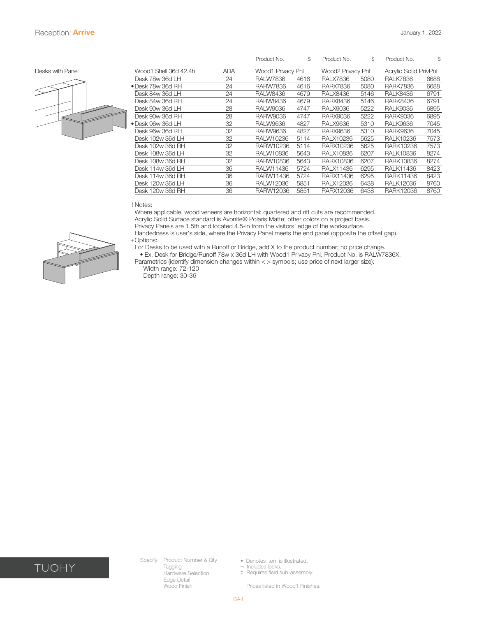

<span id="page-3-0"></span>

|                  |                           |            | Product No.       | \$   | Product No.       | \$   | Product No.           | S    |
|------------------|---------------------------|------------|-------------------|------|-------------------|------|-----------------------|------|
| Desks with Panel | Wood1 Shell 36d 42.4h     | <b>ADA</b> | Wood1 Privacy Pnl |      | Wood2 Privacy Pnl |      | Acrylic Solid PrivPnl |      |
|                  | Desk 78w 36d LH           | 24         | <b>RALW7836</b>   | 4616 | <b>RALX7836</b>   | 5080 | <b>RALK7836</b>       | 6688 |
|                  | $\bullet$ Desk 78w 36d RH | 24         | <b>RARW7836</b>   | 4616 | <b>RARX7836</b>   | 5080 | <b>RARK7836</b>       | 6688 |
|                  | Desk 84w 36d LH           | 24         | <b>RALW8436</b>   | 4679 | <b>RALX8436</b>   | 5146 | <b>RALK8436</b>       | 6791 |
|                  | Desk 84w 36d RH           | 24         | <b>RARW8436</b>   | 4679 | <b>RARX8436</b>   | 5146 | <b>RARK8436</b>       | 6791 |
|                  | Desk 90w 36d LH           | 28         | <b>RALW9036</b>   | 4747 | <b>RALX9036</b>   | 5222 | <b>RALK9036</b>       | 6895 |
|                  | Desk 90w 36d RH           | 28         | <b>RARW9036</b>   | 4747 | <b>RARX9036</b>   | 5222 | <b>RARK9036</b>       | 6895 |
|                  | • Desk 96w 36d LH         | 32         | <b>RALW9636</b>   | 4827 | <b>RALX9636</b>   | 5310 | <b>RALK9636</b>       | 7045 |
|                  | Desk 96w 36d RH           | 32         | <b>RARW9636</b>   | 4827 | <b>RARX9636</b>   | 5310 | <b>RARK9636</b>       | 7045 |
|                  | Desk 102w 36d LH          | 32         | RALW10236         | 5114 | RALX10236         | 5625 | <b>RALK10236</b>      | 7573 |
|                  | Desk 102w 36d RH          | 32         | RARW10236         | 5114 | RARX10236         | 5625 | <b>RARK10236</b>      | 7573 |
|                  | Desk 108w 36d LH          | 32         | <b>RALW10836</b>  | 5643 | <b>RALX10836</b>  | 6207 | <b>RALK10836</b>      | 8274 |
|                  | Desk 108w 36d RH          | 32         | RARW10836         | 5643 | RARX10836         | 6207 | RARK10836             | 8274 |
|                  | Desk 114w 36d LH          | 36         | RALW11436         | 5724 | <b>RALX11436</b>  | 6295 | <b>RALK11436</b>      | 8423 |
|                  | Desk 114w 36d RH          | 36         | RARW11436         | 5724 | RARX11436         | 6295 | RARK11436             | 8423 |
|                  | Desk 120w 36d LH          | 36         | <b>RALW12036</b>  | 5851 | <b>RALX12036</b>  | 6438 | <b>RALK12036</b>      | 8760 |
|                  | Desk 120w 36d RH          | 36         | RARW12036         | 5851 | RARX12036         | 6438 | RARK12036             | 8760 |
|                  |                           |            |                   |      |                   |      |                       |      |

! Notes:

 Where applicable, wood veneers are horizontal; quartered and rift cuts are recommended. Acrylic Solid Surface standard is Avonite® Polaris Matte; other colors on a project basis.

 Privacy Panels are 1.5th and located 4.5-in from the visitors' edge of the worksurface.

 Handedness is user's side, where the Privacy Panel meets the end panel (opposite the offset gap). +Options:

 For Desks to be used with a Runoff or Bridge, add X to the product number; no price change.

 • Ex. Desk for Bridge/Runoff 78w x 36d LH with Wood1 Privacy Pnl, Product No. is RALW7836X. Parametrics (identify dimension changes within < > symbols; use price of next larger size): Width range: 72-120





TUOHY

Specify: Product Number & Qty Tagging Hardware Selection Edge Detail Wood Finish

• Denotes Item is illustrated. ¬ Includes locks.

‡ Requires field sub-assembly.

Prices listed in Wood1 Finishes.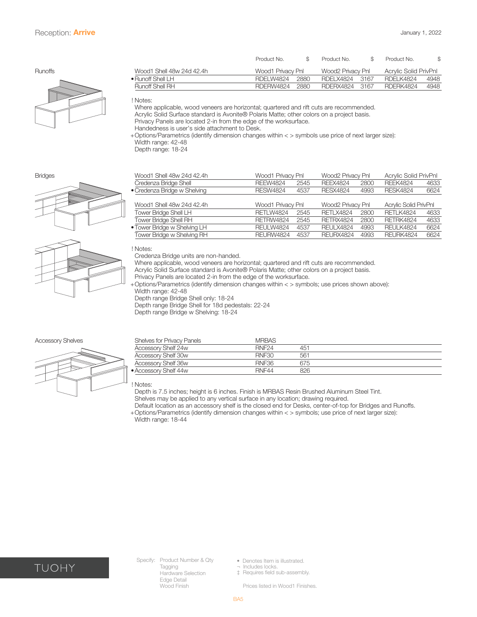<span id="page-4-0"></span>

|                |                           | Product No.       |      | Product No.       |       | Product No.           |      |
|----------------|---------------------------|-------------------|------|-------------------|-------|-----------------------|------|
| <b>Runoffs</b> | Wood1 Shell 48w 24d 42.4h | Wood1 Privacy Pnl |      | Wood2 Privacy Pnl |       | Acrylic Solid PrivPnl |      |
|                | $\bullet$ Runoff Shell LH | RDELW4824         | 2880 | RDELX4824         | -3167 | <b>RDFI K4824</b>     | 4948 |
|                | Runoff Shell RH           | RDERW4824         | 2880 | RDERX4824         | 3167  | RDERK4824             | 4948 |
|                |                           |                   |      |                   |       |                       |      |

! Notes:

 Where applicable, wood veneers are horizontal; quartered and rift cuts are recommended.

 Acrylic Solid Surface standard is Avonite® Polaris Matte; other colors on a project basis.

 Privacy Panels are located 2-in from the edge of the worksurface.

 Handedness is user's side attachment to Desk.

+ Options/Parametrics (identify dimension changes within < > symbols use price of next larger size): Width range: 42-48 Depth range: 18-24





| <b>Bridges</b> | Wood1 Shell 48w 24d 42.4h       | Wood1 Privacy Pnl |      | Wood2 Privacv Pnl  |      | Acrylic Solid PrivPnl |      |
|----------------|---------------------------------|-------------------|------|--------------------|------|-----------------------|------|
|                | Credenza Bridge Shell           | <b>REEW4824</b>   | 2545 | RFFX4824           | 2800 | <b>RFFK4824</b>       | 4633 |
|                | • Credenza Bridge w Shelving    | <b>RESW4824</b>   | 4537 | <b>RESX4824</b>    | 4993 | <b>RFSK4824</b>       | 6624 |
|                | $111 - 112 - 1112 - 21112 - 11$ | $\mathbf{u}$      |      | $111$ $10$ $1$ $1$ |      | .                     |      |

| Wood1 Shell 48w 24d 42.4h    | Wood1 Privacy Pnl |      | Wood2 Privacy Pnl |      | Acrylic Solid PrivPnl |      |
|------------------------------|-------------------|------|-------------------|------|-----------------------|------|
| Tower Bridge Shell LH        | RETLW4824         | 2545 | <b>RETLX4824</b>  | 2800 | <b>RETLK4824</b>      | 4633 |
| <b>Tower Bridge Shell RH</b> | <b>RFTRW4824</b>  | 2545 | RFTRX4824         | 2800 | RETRK4824             | 4633 |
| • Tower Bridge w Shelving LH | <b>REULW4824</b>  | 4537 | <b>RFULX4824</b>  | 4993 | <b>REULK4824</b>      | 6624 |
| Tower Bridge w Shelving RH   | <b>RFURW4824</b>  | 4537 | <b>RFURX4824</b>  | 4993 | <b>REURK4824</b>      | 6624 |

! Notes:

 Credenza Bridge units are non-handed.

 Where applicable, wood veneers are horizontal; quartered and rift cuts are recommended.

Acrylic Solid Surface standard is Avonite® Polaris Matte; other colors on a project basis.

 Privacy Panels are located 2-in from the edge of the worksurface.

+ Options/Parametrics (identify dimension changes within < > symbols; use prices shown above): Width range: 42-48

Depth range Bridge Shell only: 18-24

 Depth range Bridge Shell for 18d pedestals: 22-24

Depth range Bridge w Shelving: 18-24

#### Accessory Shelves



| <b>Shelves for Privacy Panels</b> | <b>MRBAS</b>      |     |
|-----------------------------------|-------------------|-----|
| Accessory Shelf 24w               | RNF <sub>24</sub> | 451 |
| Accessory Shelf 30w               | RNE30             | 561 |
| Accessory Shelf 36w               | <b>RNF36</b>      | 675 |
| • Accessory Shelf 44w             | RNF44             | 826 |

! Notes:

 Depth is 7.5 inches; height is 6 inches. Finish is MRBAS Resin Brushed Aluminum Steel Tint. Shelves may be applied to any vertical surface in any location; drawing required.

 Default location as an accessory shelf is the closed end for Desks, center-of-top for Bridges and Runoffs. 

+ Options/Parametrics (identify dimension changes within < > symbols; use price of next larger size): Width range: 18-44



Specify: Product Number & Qty Tagging Hardware Selection Edge Detail Wood Finish

• Denotes Item is illustrated.

¬ Includes locks. ‡ Requires field sub-assembly.

Prices listed in Wood1 Finishes.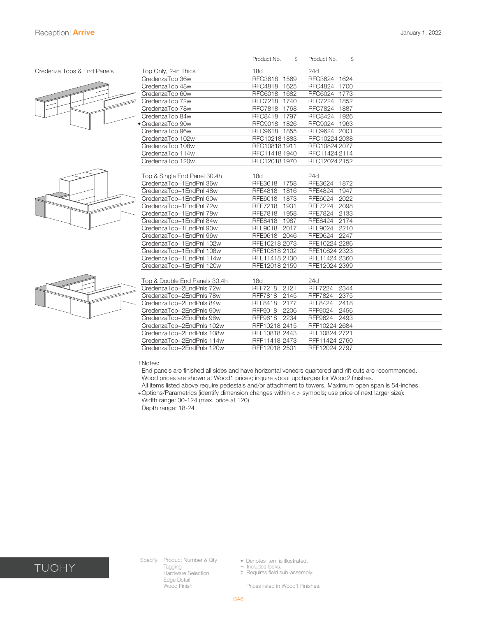#### <span id="page-5-0"></span>Credenza Tops & End Panels







|                               | \$<br>Product No.      | \$<br>Product No.      |
|-------------------------------|------------------------|------------------------|
| Top Only, 2-in Thick          | 18d                    | 24d                    |
| CredenzaTop 36w               | RFC3618<br>1569        | <b>RFC3624</b><br>1624 |
| CredenzaTop 48w               | RFC4818 1625           | RFC4824 1700           |
| CredenzaTop 60w               | RFC6018 1682           | RFC6024 1773           |
| CredenzaTop 72w               | RFC7218 1740           | RFC7224 1852           |
| CredenzaTop 78w               | RFC7818 1768           | <b>RFC7824</b><br>1887 |
| CredenzaTop 84w               | RFC8418 1797           | RFC8424 1926           |
| · CredenzaTop 90w             | RFC9018 1826           | RFC9024 1963           |
| CredenzaTop 96w               | RFC9618 1855           | RFC9624 2001           |
| CredenzaTop 102w              | RFC10218 1883          | RFC10224 2038          |
| CredenzaTop 108w              | RFC10818 1911          | RFC10824 2077          |
| CredenzaTop 114w              | RFC11418 1940          | RFC11424 2114          |
| CredenzaTop 120w              | RFC12018 1970          | RFC12024 2152          |
|                               |                        |                        |
| Top & Single End Panel 30.4h  | 18d                    | 24d                    |
| CredenzaTop+1EndPnl 36w       | RFE3618<br>1758        | RFE3624<br>1872        |
| CredenzaTop+1EndPnl 48w       | <b>RFE4818</b><br>1816 | <b>RFE4824</b><br>1947 |
| CredenzaTop+1EndPnl 60w       | 1873<br>RFE6018        | RFE6024<br>2022        |
| CredenzaTop+1EndPnl 72w       | <b>RFE7218</b><br>1931 | <b>RFE7224</b><br>2098 |
| CredenzaTop+1EndPnl 78w       | RFE7818 1958           | <b>RFE7824</b><br>2133 |
| CredenzaTop+1EndPnl 84w       | <b>RFE8418</b><br>1987 | <b>RFE8424</b><br>2174 |
| CredenzaTop+1EndPnl 90w       | 2017<br>RFE9018        | 2210<br><b>RFE9024</b> |
| CredenzaTop+1EndPnl 96w       | RFE9618 2046           | RFE9624<br>2247        |
| CredenzaTop+1EndPnl 102w      | RFE10218 2073          | RFE10224 2286          |
| CredenzaTop+1EndPnl 108w      | RFE10818 2102          | RFE10824 2323          |
| CredenzaTop+1EndPnl 114w      | RFE11418 2130          | RFE11424 2360          |
| CredenzaTop+1EndPnl 120w      | RFE12018 2159          | RFE12024 2399          |
|                               |                        |                        |
| Top & Double End Panels 30.4h | 18d                    | 24d                    |
| CredenzaTop+2EndPnls 72w      | <b>RFF7218</b><br>2121 | <b>RFF7224</b><br>2344 |
| CredenzaTop+2EndPnls 78w      | RFF7818 2145           | 2375<br><b>RFF7824</b> |
| CredenzaTop+2EndPnls 84w      | RFF8418 2177           | RFF8424<br>2418        |
| CredenzaTop+2EndPnls 90w      | <b>RFF9018</b><br>2206 | 2456<br>RFF9024        |
| CredenzaTop+2EndPnls 96w      | 2234<br>RFF9618        | RFF9624<br>2493        |
| CredenzaTop+2EndPnls 102w     | RFF10218 2415          | RFF10224 2684          |
| CredenzaTop+2EndPnls 108w     | RFF10818 2443          | RFF10824 2721          |
| CredenzaTop+2EndPnls 114w     | RFF11418 2473          | RFF11424 2760          |
| CredenzaTop+2EndPnls 120w     | RFF12018 2501          | RFF12024 2797          |

#### ! Notes:

 End panels are finished all sides and have horizontal veneers quartered and rift cuts are recommended. Wood prices are shown at Wood1 prices; inquire about upcharges for Wood2 finishes.

 All items listed above require pedestals and/or attachment to towers. Maximum open span is 54-inches. + Options/Parametrics (identify dimension changes within < > symbols; use price of next larger size): Width range: 30-124 (max. price at 120)

Depth range: 18-24



Specify: Product Number & Qty Tagging Hardware Selection Edge Detail Wood Finish

- Denotes Item is illustrated.
- ¬ Includes locks. ‡ Requires field sub-assembly.

Prices listed in Wood1 Finishes.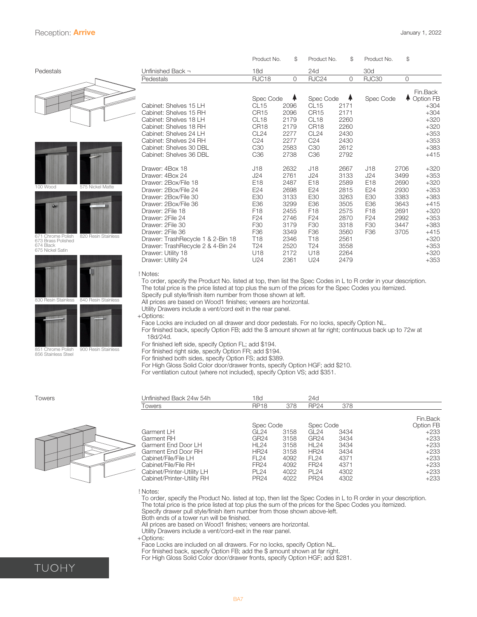### <span id="page-6-0"></span>Reception: **Arrive** January 1, 2022

830 Resin Stainless

851 Chrome Polish 856 Stainless Steel

|                               |                     |                                   | Product No.      | \$           | Product No.      | \$   | Product No.     | \$             |             |
|-------------------------------|---------------------|-----------------------------------|------------------|--------------|------------------|------|-----------------|----------------|-------------|
| Pedestals                     |                     | Unfinished Back $\neg$            | 18d              |              | 24d              |      | 30d             |                |             |
|                               |                     | Pedestals                         | RJC18            | $\mathbf{0}$ | RJC24            | 0    | <b>RJC30</b>    | $\overline{O}$ |             |
|                               |                     |                                   |                  |              |                  |      |                 |                | Fin.Back    |
|                               |                     |                                   | Spec Code        |              | Spec Code        | ÷    | Spec Code       |                | ← Option FB |
|                               |                     | Cabinet: Shelves 15 LH            | CL15             | 2096         | CL <sub>15</sub> | 2171 |                 |                | $+304$      |
|                               |                     | Cabinet: Shelves 15 RH            | CR <sub>15</sub> | 2096         | CR <sub>15</sub> | 2171 |                 |                | $+304$      |
|                               |                     | Cabinet: Shelves 18 LH            | CL <sub>18</sub> | 2179         | CL <sub>18</sub> | 2260 |                 |                | $+320$      |
|                               |                     | Cabinet: Shelves 18 RH            | CR <sub>18</sub> | 2179         | CR <sub>18</sub> | 2260 |                 |                | $+320$      |
|                               |                     | Cabinet: Shelves 24 LH            | CL24             | 2277         | CL <sub>24</sub> | 2430 |                 |                | $+353$      |
|                               |                     | Cabinet: Shelves 24 RH            | C <sub>24</sub>  | 2277         | C <sub>24</sub>  | 2430 |                 |                | $+353$      |
|                               |                     | Cabinet: Shelves 30 DBL           | C <sub>30</sub>  | 2583         | C <sub>30</sub>  | 2612 |                 |                | $+383$      |
|                               |                     | Cabinet: Shelves 36 DBL           | C <sub>36</sub>  | 2738         | C <sub>36</sub>  | 2792 |                 |                | $+415$      |
|                               |                     | Drawer: 4Box 18                   | J18              | 2632         | J18              | 2667 | J18             | 2706           | $+320$      |
|                               |                     | Drawer: 4Box 24                   | J24              | 2761         | J24              | 3133 | J24             | 3499           | $+353$      |
| 100 Wood                      | 575 Nickel Matte    | Drawer: 2Box/File 18              | E18              | 2487         | E18              | 2589 | E18             | 2690           | $+320$      |
|                               |                     | Drawer: 2Box/File 24              | E24              | 2698         | E24              | 2815 | E24             | 2930           | $+353$      |
|                               |                     | Drawer: 2Box/File 30              | E30              | 3133         | E30              | 3263 | E30             | 3383           | $+383$      |
| $\omega$                      |                     | Drawer: 2Box/File 36              | E36              | 3299         | E36              | 3505 | E36             | 3643           | $+415$      |
|                               |                     | Drawer: 2File 18                  | F <sub>18</sub>  | 2455         | F <sub>18</sub>  | 2575 | F <sub>18</sub> | 2691           | $+320$      |
|                               |                     | Drawer: 2File 24                  | F <sub>24</sub>  | 2746         | F <sub>24</sub>  | 2870 | F <sub>24</sub> | 2992           | $+353$      |
|                               |                     | Drawer: 2File 30                  | F <sub>30</sub>  | 3179         | F <sub>30</sub>  | 3318 | F30             | 3447           | $+383$      |
| 671 Chrome Polish             | 820 Resin Stainless | Drawer: 2File 36                  | F <sub>36</sub>  | 3349         | F <sub>36</sub>  | 3560 | F36             | 3705           | $+415$      |
| 673 Brass Polished            |                     | Drawer: TrashRecycle 1 & 2-Bin 18 | T <sub>18</sub>  | 2346         | <b>T18</b>       | 2561 |                 |                | $+320$      |
| 674 Black<br>675 Nickel Satin |                     | Drawer: TrashRecycle 2 & 4-Bin 24 | T <sub>24</sub>  | 2520         | T <sub>24</sub>  | 3558 |                 |                | $+353$      |
|                               |                     | Drawer: Utility 18                | U18              | 2172         | U18              | 2264 |                 |                | $+320$      |
|                               |                     | Drawer: Utility 24                | U24              | 2361         | U24              | 2479 |                 |                | $+353$      |
|                               |                     |                                   |                  |              |                  |      |                 |                |             |

! Notes:

 To order, specify the Product No. listed at top, then list the Spec Codes in L to R order in your description. The total price is the price listed at top plus the sum of the prices for the Spec Codes you itemized. Specify pull style/finish item number from those shown at left.

All prices are based on Wood1 finishes; veneers are horizontal.

 Utility Drawers include a vent/cord exit in the rear panel.

+Options:

 Face Locks are included on all drawer and door pedestals. For no locks, specify Option NL.

 For finished back, specify Option FB; add the \$ amount shown at far right; continuous back up to 72w at 18d/24d.

 For finished left side, specify Option FL; add \$194.

 For finished right side, specify Option FR; add \$194.

 For finished both sides, specify Option FS; add \$389.

 For High Gloss Solid Color door/drawer fronts, specify Option HGF; add \$210.

 For ventilation cutout (where not included), specify Option VS; add \$351.

| <b>Towers</b> | Unfinished Back 24w 54h    | 18d              |      | 24d              |      |           |
|---------------|----------------------------|------------------|------|------------------|------|-----------|
|               | Towers                     | <b>RP18</b>      | 378  | <b>RP24</b>      | 378  |           |
|               |                            |                  |      |                  |      | Fin.Back  |
|               |                            | Spec Code        |      | Spec Code        |      | Option FB |
|               | Garment LH                 | GL <sub>24</sub> | 3158 | GL <sub>24</sub> | 3434 | $+233$    |
|               | Garment RH                 | GR24             | 3158 | <b>GR24</b>      | 3434 | $+233$    |
|               | Garment End Door LH        | HL24             | 3158 | HL24             | 3434 | $+233$    |
|               | Garment End Door RH        | <b>HR24</b>      | 3158 | <b>HR24</b>      | 3434 | $+233$    |
|               | Cabinet/File/File LH       | FL24             | 4092 | FL <sub>24</sub> | 4371 | $+233$    |
|               | Cabinet/File/File RH       | <b>FR24</b>      | 4092 | <b>FR24</b>      | 4371 | $+233$    |
|               | Cabinet/Printer-Utility LH | <b>PL24</b>      | 4022 | <b>PL24</b>      | 4302 | $+233$    |
|               | Cabinet/Printer-Utility RH | <b>PR24</b>      | 4022 | <b>PR24</b>      | 4302 | $+233$    |

! No<br>To To order, specify the Product No. listed at top, then list the Spec Codes in L to R order in your description. The total price is the price listed at top plus the sum of the prices for the Spec Codes you itemized. 

 Specify drawer pull style/finish item number from those shown above-left. 

 Both ends of a tower run will be finished.

All prices are based on Wood1 finishes; veneers are horizontal.

 Utility Drawers include a vent/cord-exit in the rear panel.

+Options:

 Face Locks are included on all drawers. For no locks, specify Option NL.

 For finished back, specify Option FB; add the \$ amount shown at far right.

 For High Gloss Solid Color door/drawer fronts, specify Option HGF; add \$281.

40 Resin Stainle

900 Resin Stainless



|  | UOHY |  |
|--|------|--|

|                                                                                                                |                  |      |                  |      | Fin.Back  |
|----------------------------------------------------------------------------------------------------------------|------------------|------|------------------|------|-----------|
|                                                                                                                | Spec Code        |      | Spec Code        |      | Option FB |
| Garment LH                                                                                                     | GL 24            | 3158 | GL24             | 3434 | $+233$    |
| Garment RH                                                                                                     | GR24             | 3158 | GR <sub>24</sub> | 3434 | $+233$    |
| Garment End Door LH                                                                                            | HL24             | 3158 | HL24             | 3434 | $+233$    |
| Garment End Door RH                                                                                            | <b>HR24</b>      | 3158 | HR24             | 3434 | $+233$    |
| Cabinet/File/File LH                                                                                           | FL24             | 4092 | FL24             | 4371 | $+233$    |
| Cabinet/File/File RH                                                                                           | FR <sub>24</sub> | 4092 | FR <sub>24</sub> | 4371 | +233      |
| Cabinet/Printer-Utility LH                                                                                     | <b>PL24</b>      | 4022 | PL 24            | 4302 | $+233$    |
| Cabinet/Printer-Utility RH                                                                                     | PR <sub>24</sub> | 4022 | <b>PR24</b>      | 4302 | $+233$    |
| ! Notes:                                                                                                       |                  |      |                  |      |           |
| To order, specify the Product No. listed at top, then list the Spec Codes in L to R order in your description. |                  |      |                  |      |           |